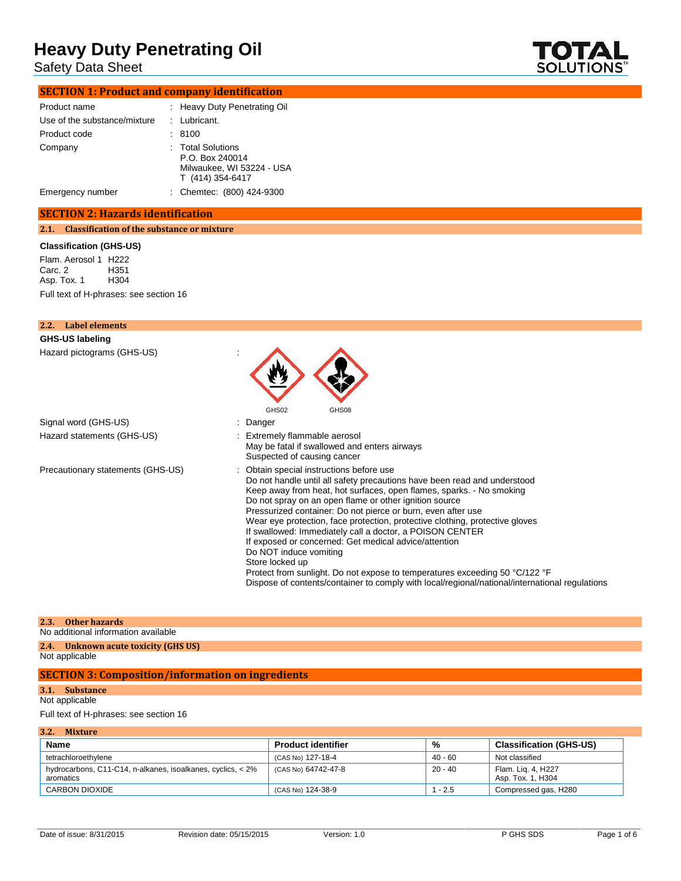Safety Data Sheet



## **SECTION 1: Product and company identification**

| Product name                 | : Heavy Duty Penetrating Oil                                                          |
|------------------------------|---------------------------------------------------------------------------------------|
| Use of the substance/mixture | $:$ Lubricant.                                                                        |
| Product code                 | : 8100                                                                                |
| Company                      | : Total Solutions<br>P.O. Box 240014<br>Milwaukee, WI 53224 - USA<br>T (414) 354-6417 |
| Emergency number             | : Chemtec: (800) 424-9300                                                             |

## **SECTION 2: Hazards identification**

**2.1. Classification of the substance or mixture**

#### **Classification (GHS-US)**

Flam. Aerosol 1 H222<br>Carc. 2 H351 Carc. 2 H351 Asp. Tox. 1 Full text of H-phrases: see section 16

| 2.2.<br>Label elements            |                                                                                                                                                                                                                                                                                                                                                                                                                                                                                                                                                                                                                                                                                                                                                           |
|-----------------------------------|-----------------------------------------------------------------------------------------------------------------------------------------------------------------------------------------------------------------------------------------------------------------------------------------------------------------------------------------------------------------------------------------------------------------------------------------------------------------------------------------------------------------------------------------------------------------------------------------------------------------------------------------------------------------------------------------------------------------------------------------------------------|
| GHS-US labeling                   |                                                                                                                                                                                                                                                                                                                                                                                                                                                                                                                                                                                                                                                                                                                                                           |
| Hazard pictograms (GHS-US)        | GHS02<br>GHS08                                                                                                                                                                                                                                                                                                                                                                                                                                                                                                                                                                                                                                                                                                                                            |
| Signal word (GHS-US)              | : Danger                                                                                                                                                                                                                                                                                                                                                                                                                                                                                                                                                                                                                                                                                                                                                  |
| Hazard statements (GHS-US)        | : Extremely flammable aerosol<br>May be fatal if swallowed and enters airways<br>Suspected of causing cancer                                                                                                                                                                                                                                                                                                                                                                                                                                                                                                                                                                                                                                              |
| Precautionary statements (GHS-US) | : Obtain special instructions before use<br>Do not handle until all safety precautions have been read and understood<br>Keep away from heat, hot surfaces, open flames, sparks. - No smoking<br>Do not spray on an open flame or other ignition source<br>Pressurized container: Do not pierce or burn, even after use<br>Wear eye protection, face protection, protective clothing, protective gloves<br>If swallowed: Immediately call a doctor, a POISON CENTER<br>If exposed or concerned: Get medical advice/attention<br>Do NOT induce vomiting<br>Store locked up<br>Protect from sunlight. Do not expose to temperatures exceeding 50 °C/122 °F<br>Dispose of contents/container to comply with local/regional/national/international regulations |

#### **2.3. Other hazards**

No additional information available

#### **2.4. Unknown acute toxicity (GHS US)** Not applicable

## **SECTION 3: Composition/information on ingredients**

**3.1. Substance**

## Not applicable

Full text of H-phrases: see section 16

| 3.2.<br><b>Mixture</b>                                                   |                           |           |                                         |
|--------------------------------------------------------------------------|---------------------------|-----------|-----------------------------------------|
| Name                                                                     | <b>Product identifier</b> | %         | <b>Classification (GHS-US)</b>          |
| tetrachloroethylene                                                      | (CAS No) 127-18-4         | $40 - 60$ | Not classified                          |
| hydrocarbons, C11-C14, n-alkanes, isoalkanes, cyclics, < 2%<br>aromatics | (CAS No) 64742-47-8       | $20 - 40$ | Flam. Lig. 4, H227<br>Asp. Tox. 1, H304 |
| <b>CARBON DIOXIDE</b>                                                    | (CAS No) 124-38-9         | $1 - 2.5$ | Compressed gas, H280                    |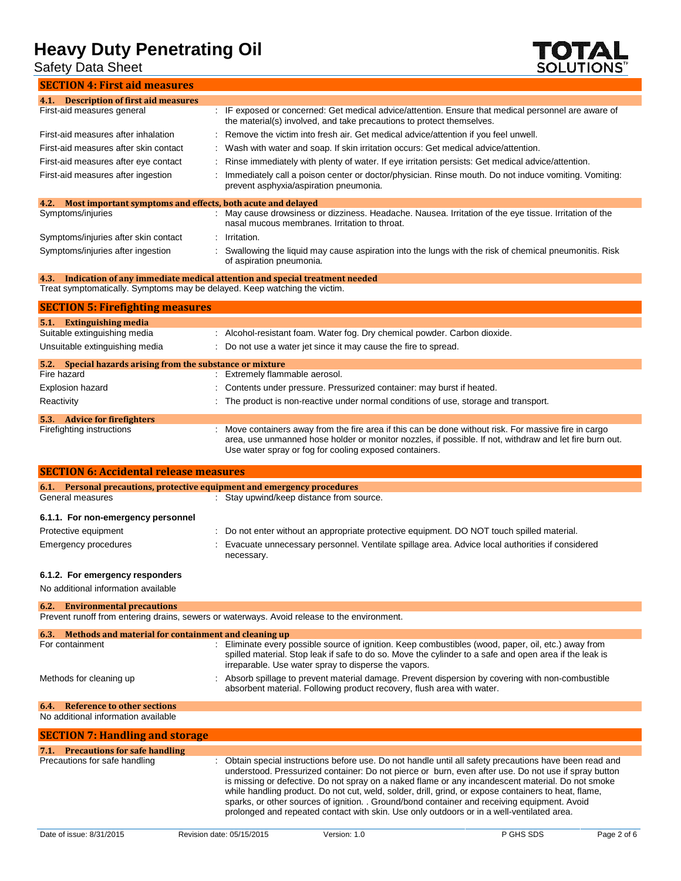Safety Data Sheet

**TOTAL**<br>SOLUTIONS"

**SECTION 4: First aid measures**

| 4.1. Description of first aid measures                                            |                                                                                                                                                                                                                                                                          |
|-----------------------------------------------------------------------------------|--------------------------------------------------------------------------------------------------------------------------------------------------------------------------------------------------------------------------------------------------------------------------|
| First-aid measures general                                                        | IF exposed or concerned: Get medical advice/attention. Ensure that medical personnel are aware of                                                                                                                                                                        |
|                                                                                   | the material(s) involved, and take precautions to protect themselves.                                                                                                                                                                                                    |
| First-aid measures after inhalation                                               | Remove the victim into fresh air. Get medical advice/attention if you feel unwell.                                                                                                                                                                                       |
| First-aid measures after skin contact                                             | Wash with water and soap. If skin irritation occurs: Get medical advice/attention.                                                                                                                                                                                       |
| First-aid measures after eye contact                                              | Rinse immediately with plenty of water. If eye irritation persists: Get medical advice/attention.                                                                                                                                                                        |
| First-aid measures after ingestion                                                | Immediately call a poison center or doctor/physician. Rinse mouth. Do not induce vomiting. Vomiting:<br>prevent asphyxia/aspiration pneumonia.                                                                                                                           |
| Most important symptoms and effects, both acute and delayed<br>4.2.               |                                                                                                                                                                                                                                                                          |
| Symptoms/injuries                                                                 | May cause drowsiness or dizziness. Headache. Nausea. Irritation of the eye tissue. Irritation of the<br>nasal mucous membranes. Irritation to throat.                                                                                                                    |
| Symptoms/injuries after skin contact                                              | Irritation.                                                                                                                                                                                                                                                              |
| Symptoms/injuries after ingestion                                                 | Swallowing the liquid may cause aspiration into the lungs with the risk of chemical pneumonitis. Risk<br>of aspiration pneumonia.                                                                                                                                        |
| 4.3.                                                                              | Indication of any immediate medical attention and special treatment needed                                                                                                                                                                                               |
| Treat symptomatically. Symptoms may be delayed. Keep watching the victim.         |                                                                                                                                                                                                                                                                          |
| <b>SECTION 5: Firefighting measures</b>                                           |                                                                                                                                                                                                                                                                          |
| <b>Extinguishing media</b><br><b>5.1.</b><br>Suitable extinguishing media         |                                                                                                                                                                                                                                                                          |
|                                                                                   | : Alcohol-resistant foam. Water fog. Dry chemical powder. Carbon dioxide.                                                                                                                                                                                                |
| Unsuitable extinguishing media                                                    | Do not use a water jet since it may cause the fire to spread.                                                                                                                                                                                                            |
| Special hazards arising from the substance or mixture<br>5.2.<br>Fire hazard      | Extremely flammable aerosol.                                                                                                                                                                                                                                             |
|                                                                                   |                                                                                                                                                                                                                                                                          |
| <b>Explosion hazard</b>                                                           | Contents under pressure. Pressurized container: may burst if heated.                                                                                                                                                                                                     |
| Reactivity                                                                        | The product is non-reactive under normal conditions of use, storage and transport.                                                                                                                                                                                       |
| 5.3. Advice for firefighters                                                      |                                                                                                                                                                                                                                                                          |
| Firefighting instructions                                                         | Move containers away from the fire area if this can be done without risk. For massive fire in cargo<br>area, use unmanned hose holder or monitor nozzles, if possible. If not, withdraw and let fire burn out.<br>Use water spray or fog for cooling exposed containers. |
| <b>SECTION 6: Accidental release measures</b>                                     |                                                                                                                                                                                                                                                                          |
| 6.1. Personal precautions, protective equipment and emergency procedures          |                                                                                                                                                                                                                                                                          |
| General measures                                                                  | : Stay upwind/keep distance from source.                                                                                                                                                                                                                                 |
| 6.1.1. For non-emergency personnel                                                |                                                                                                                                                                                                                                                                          |
| Protective equipment                                                              | Do not enter without an appropriate protective equipment. DO NOT touch spilled material.                                                                                                                                                                                 |
| Emergency procedures                                                              | Evacuate unnecessary personnel. Ventilate spillage area. Advice local authorities if considered<br>necessary.                                                                                                                                                            |
| 6.1.2. For emergency responders                                                   |                                                                                                                                                                                                                                                                          |
| No additional information available                                               |                                                                                                                                                                                                                                                                          |
| <b>Environmental precautions</b><br>6.2.                                          |                                                                                                                                                                                                                                                                          |
|                                                                                   | Prevent runoff from entering drains, sewers or waterways. Avoid release to the environment.                                                                                                                                                                              |
| Methods and material for containment and cleaning up<br>6.3.                      |                                                                                                                                                                                                                                                                          |
| For containment                                                                   | : Eliminate every possible source of ignition. Keep combustibles (wood, paper, oil, etc.) away from<br>spilled material. Stop leak if safe to do so. Move the cylinder to a safe and open area if the leak is<br>irreparable. Use water spray to disperse the vapors.    |
| Methods for cleaning up                                                           | Absorb spillage to prevent material damage. Prevent dispersion by covering with non-combustible<br>absorbent material. Following product recovery, flush area with water.                                                                                                |
| <b>Reference to other sections</b><br>6.4.<br>No additional information available |                                                                                                                                                                                                                                                                          |
|                                                                                   |                                                                                                                                                                                                                                                                          |
| <b>SECTION 7: Handling and storage</b>                                            |                                                                                                                                                                                                                                                                          |
| <b>Precautions for safe handling</b><br>7.1.<br>Precautions for safe handling     | Obtain special instructions before use. Do not handle until all safety precautions have been read and<br>$\mathbb{Z}^{\times}$                                                                                                                                           |

| cautions for safe handling | : Obtain special instructions before use. Do not handle until all safety precautions have been read and |
|----------------------------|---------------------------------------------------------------------------------------------------------|
|                            | understood. Pressurized container: Do not pierce or burn, even after use. Do not use if spray button    |
|                            | is missing or defective. Do not spray on a naked flame or any incandescent material. Do not smoke       |
|                            | while handling product. Do not cut, weld, solder, drill, grind, or expose containers to heat, flame,    |
|                            | sparks, or other sources of ignition. . Ground/bond container and receiving equipment. Avoid            |
|                            | prolonged and repeated contact with skin. Use only outdoors or in a well-ventilated area.               |
|                            |                                                                                                         |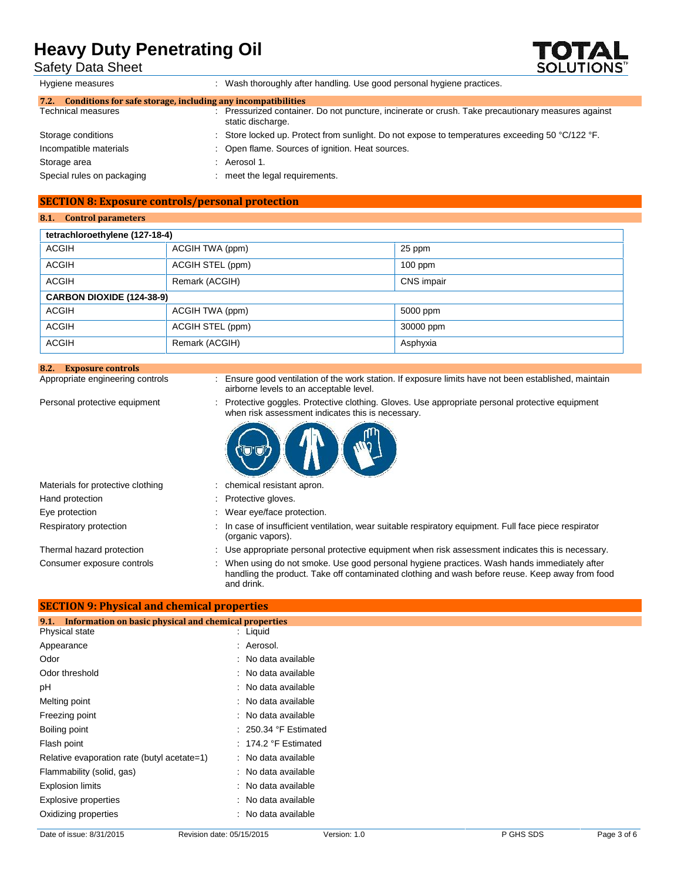Safety Data Sheet



| Hygiene measures                                                     |  | Wash thoroughly after handling. Use good personal hygiene practices.                                                  |  |  |  |  |  |
|----------------------------------------------------------------------|--|-----------------------------------------------------------------------------------------------------------------------|--|--|--|--|--|
| Conditions for safe storage, including any incompatibilities<br>7.2. |  |                                                                                                                       |  |  |  |  |  |
| <b>Technical measures</b>                                            |  | Pressurized container. Do not puncture, incinerate or crush. Take precautionary measures against<br>static discharge. |  |  |  |  |  |
| Storage conditions                                                   |  | Store locked up. Protect from sunlight. Do not expose to temperatures exceeding 50 °C/122 °F.                         |  |  |  |  |  |
| Incompatible materials                                               |  | : Open flame. Sources of ignition. Heat sources.                                                                      |  |  |  |  |  |
| Storage area                                                         |  | Aerosol 1.                                                                                                            |  |  |  |  |  |
| Special rules on packaging                                           |  | meet the legal requirements.                                                                                          |  |  |  |  |  |
|                                                                      |  |                                                                                                                       |  |  |  |  |  |

## **SECTION 8: Exposure controls/personal protection**

### **8.1. Control parameters**

| tetrachloroethylene (127-18-4)   |                  |                   |  |  |  |
|----------------------------------|------------------|-------------------|--|--|--|
| <b>ACGIH</b>                     | ACGIH TWA (ppm)  | 25 ppm            |  |  |  |
| <b>ACGIH</b>                     | ACGIH STEL (ppm) | $100$ ppm         |  |  |  |
| <b>ACGIH</b>                     | Remark (ACGIH)   | <b>CNS</b> impair |  |  |  |
| <b>CARBON DIOXIDE (124-38-9)</b> |                  |                   |  |  |  |
| <b>ACGIH</b>                     | ACGIH TWA (ppm)  | 5000 ppm          |  |  |  |
| <b>ACGIH</b>                     | ACGIH STEL (ppm) | 30000 ppm         |  |  |  |
| <b>ACGIH</b>                     | Remark (ACGIH)   | Asphyxia          |  |  |  |

## **8.2. Exposure controls**

: Ensure good ventilation of the work station. If exposure limits have not been established, maintain airborne levels to an acceptable level.

Personal protective equipment : Protective goggles. Protective clothing. Gloves. Use appropriate personal protective equipment when risk assessment indicates this is necessary.



| Materials for protective clothing |
|-----------------------------------|
| Hand protection                   |
| Eye protection                    |
| Respiratory protection            |
|                                   |

- : chemical resistant apron.
- : Protective gloves.
- : Wear eye/face protection.
- : In case of insufficient ventilation, wear suitable respiratory equipment. Full face piece respirator (organic vapors).

**SECTION 9: Physical and chemical properties**

Thermal hazard protection : Use appropriate personal protective equipment when risk assessment indicates this is necessary.

Consumer exposure controls : When using do not smoke. Use good personal hygiene practices. Wash hands immediately after handling the product. Take off contaminated clothing and wash before reuse. Keep away from food and drink.

| Information on basic physical and chemical properties<br>9.1. |                         |  |
|---------------------------------------------------------------|-------------------------|--|
| Physical state                                                | : Liquid                |  |
| Appearance                                                    | : Aerosol.              |  |
| Odor                                                          | : No data available     |  |
| Odor threshold                                                | : No data available     |  |
| рH                                                            | : No data available     |  |
| Melting point                                                 | : No data available     |  |
| Freezing point                                                | : No data available     |  |
| Boiling point                                                 | $: 250.34$ °F Estimated |  |
| Flash point                                                   | $: 174.2$ °F Estimated  |  |
| Relative evaporation rate (butyl acetate=1)                   | : No data available     |  |
| Flammability (solid, gas)                                     | : No data available     |  |
| <b>Explosion limits</b>                                       | : No data available     |  |
| Explosive properties                                          | : No data available     |  |
| Oxidizing properties                                          | : No data available     |  |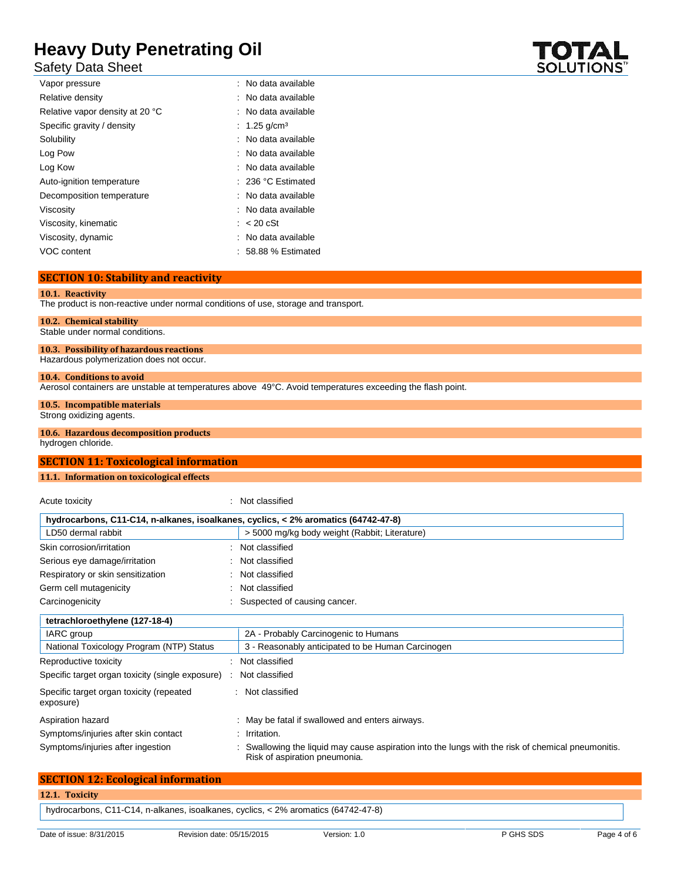Safety Data Sheet

| Vapor pressure                  | : No data available  |
|---------------------------------|----------------------|
| Relative density                | : No data available  |
| Relative vapor density at 20 °C | : No data available  |
| Specific gravity / density      | : 1.25 $q/cm3$       |
| Solubility                      | : No data available  |
| Log Pow                         | : No data available  |
| Log Kow                         | : No data available  |
| Auto-ignition temperature       | $: 236 °C$ Estimated |
| Decomposition temperature       | : No data available  |
| Viscosity                       | : No data available  |
| Viscosity, kinematic            | $\approx$ 20 cSt     |
| Viscosity, dynamic              | : No data available  |
| VOC content                     | $: 58.88%$ Estimated |

## **SECTION 10: Stability and reactivity**

#### **10.1. Reactivity**

The product is non-reactive under normal conditions of use, storage and transport.

## **10.2. Chemical stability**

Stable under normal conditions.

## **10.3. Possibility of hazardous reactions**

Hazardous polymerization does not occur.

## **10.4. Conditions to avoid**

Aerosol containers are unstable at temperatures above 49°C. Avoid temperatures exceeding the flash point.

## **10.5. Incompatible materials**

Strong oxidizing agents.

## **10.6. Hazardous decomposition products**

hydrogen chloride.

## **SECTION 11: Toxicological information**

## **11.1. Information on toxicological effects**

Acute toxicity in the contract of the classified in the classified in the classified in the classified in the  $\sim$ 

| hydrocarbons, C11-C14, n-alkanes, isoalkanes, cyclics, < 2% aromatics (64742-47-8) |                                                                                                                                   |
|------------------------------------------------------------------------------------|-----------------------------------------------------------------------------------------------------------------------------------|
| LD50 dermal rabbit                                                                 | > 5000 mg/kg body weight (Rabbit; Literature)                                                                                     |
| Skin corrosion/irritation                                                          | : Not classified                                                                                                                  |
| Serious eye damage/irritation                                                      | : Not classified                                                                                                                  |
| Respiratory or skin sensitization                                                  | : Not classified                                                                                                                  |
| Germ cell mutagenicity                                                             | Not classified                                                                                                                    |
| Carcinogenicity                                                                    | Suspected of causing cancer.                                                                                                      |
| tetrachloroethylene (127-18-4)                                                     |                                                                                                                                   |
| IARC group                                                                         | 2A - Probably Carcinogenic to Humans                                                                                              |
| National Toxicology Program (NTP) Status                                           | 3 - Reasonably anticipated to be Human Carcinogen                                                                                 |
| Reproductive toxicity                                                              | : Not classified                                                                                                                  |
| Specific target organ toxicity (single exposure)                                   | Not classified                                                                                                                    |
| Specific target organ toxicity (repeated<br>exposure)                              | : Not classified                                                                                                                  |
| Aspiration hazard                                                                  | : May be fatal if swallowed and enters airways.                                                                                   |
| Symptoms/injuries after skin contact                                               | : Irritation.                                                                                                                     |
| Symptoms/injuries after ingestion                                                  | Swallowing the liquid may cause aspiration into the lungs with the risk of chemical pneumonitis.<br>Risk of aspiration pneumonia. |

| <b>SECTION 12: Ecological information</b>                                          |  |
|------------------------------------------------------------------------------------|--|
| 12.1. Toxicity                                                                     |  |
| hydrocarbons, C11-C14, n-alkanes, isoalkanes, cyclics, < 2% aromatics (64742-47-8) |  |

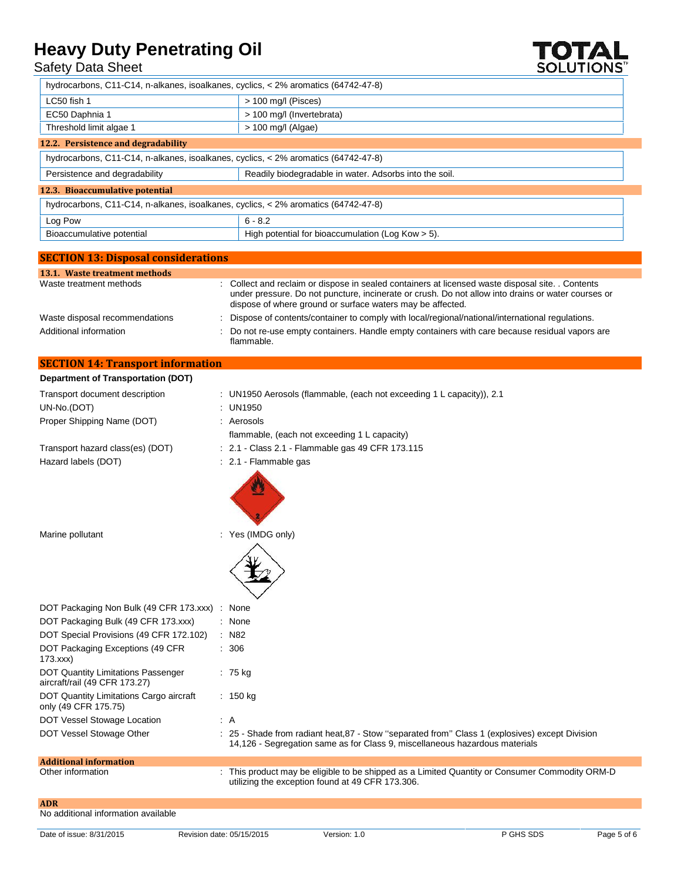## Safety Data Sheet



hydrocarbons, C11-C14, n-alkanes, isoalkanes, cyclics, < 2% aromatics (64742-47-8)

| $\alpha$ , $\alpha$ and $\alpha$ and $\alpha$ are $\alpha$ in the case of the community of $\alpha$ and $\alpha$ and $\alpha$ and $\alpha$ and $\alpha$ and $\alpha$ and $\alpha$ and $\alpha$ and $\alpha$ and $\alpha$ and $\alpha$ and $\alpha$ and $\alpha$ and $\alpha$ and $\alpha$ and $\alpha$ and $\alpha$ a |                                                        |  |
|-----------------------------------------------------------------------------------------------------------------------------------------------------------------------------------------------------------------------------------------------------------------------------------------------------------------------|--------------------------------------------------------|--|
| LC50 fish 1                                                                                                                                                                                                                                                                                                           | > 100 mg/l (Pisces)                                    |  |
| EC50 Daphnia 1                                                                                                                                                                                                                                                                                                        | > 100 mg/l (Invertebrata)                              |  |
| Threshold limit algae 1                                                                                                                                                                                                                                                                                               | $> 100$ mg/l (Algae)                                   |  |
| 12.2. Persistence and degradability                                                                                                                                                                                                                                                                                   |                                                        |  |
| hydrocarbons, C11-C14, n-alkanes, isoalkanes, cyclics, < 2% aromatics (64742-47-8)                                                                                                                                                                                                                                    |                                                        |  |
| Persistence and degradability                                                                                                                                                                                                                                                                                         | Readily biodegradable in water. Adsorbs into the soil. |  |
| 12.3. Bioaccumulative potential                                                                                                                                                                                                                                                                                       |                                                        |  |
| hydrocarbons, C11-C14, n-alkanes, isoalkanes, cyclics, < 2% aromatics (64742-47-8)                                                                                                                                                                                                                                    |                                                        |  |
| Log Pow                                                                                                                                                                                                                                                                                                               | $6 - 8.2$                                              |  |
| Bioaccumulative potential                                                                                                                                                                                                                                                                                             | High potential for bioaccumulation (Log Kow $>$ 5).    |  |
|                                                                                                                                                                                                                                                                                                                       |                                                        |  |

| <b>SECTION 13: Disposal considerations</b> |                                                                                                                                                                                                                                                                       |
|--------------------------------------------|-----------------------------------------------------------------------------------------------------------------------------------------------------------------------------------------------------------------------------------------------------------------------|
| 13.1. Waste treatment methods              |                                                                                                                                                                                                                                                                       |
| Waste treatment methods                    | : Collect and reclaim or dispose in sealed containers at licensed waste disposal site. . Contents<br>under pressure. Do not puncture, incinerate or crush. Do not allow into drains or water courses or<br>dispose of where ground or surface waters may be affected. |
| Waste disposal recommendations             | Dispose of contents/container to comply with local/regional/national/international regulations.                                                                                                                                                                       |
| Additional information                     | : Do not re-use empty containers. Handle empty containers with care because residual vapors are<br>flammable.                                                                                                                                                         |

## **SECTION 14: Transport information**

| Department of Transportation (DOT)                                         |                                                                                                                                                                                |
|----------------------------------------------------------------------------|--------------------------------------------------------------------------------------------------------------------------------------------------------------------------------|
| Transport document description                                             | : UN1950 Aerosols (flammable, (each not exceeding 1 L capacity)), 2.1                                                                                                          |
| UN-No.(DOT)                                                                | : UN1950                                                                                                                                                                       |
| Proper Shipping Name (DOT)                                                 | : Aerosols                                                                                                                                                                     |
|                                                                            | flammable, (each not exceeding 1 L capacity)                                                                                                                                   |
| Transport hazard class(es) (DOT)                                           | : 2.1 - Class 2.1 - Flammable gas 49 CFR 173.115                                                                                                                               |
| Hazard labels (DOT)                                                        | : 2.1 - Flammable gas                                                                                                                                                          |
|                                                                            |                                                                                                                                                                                |
| Marine pollutant                                                           | : Yes (IMDG only)                                                                                                                                                              |
|                                                                            |                                                                                                                                                                                |
| DOT Packaging Non Bulk (49 CFR 173.xxx) :                                  | None                                                                                                                                                                           |
| DOT Packaging Bulk (49 CFR 173.xxx)                                        | : None                                                                                                                                                                         |
| DOT Special Provisions (49 CFR 172.102)                                    | $:$ N82                                                                                                                                                                        |
| DOT Packaging Exceptions (49 CFR<br>173.xxx                                | : 306                                                                                                                                                                          |
| <b>DOT Quantity Limitations Passenger</b><br>aircraft/rail (49 CFR 173.27) | $: 75$ kg                                                                                                                                                                      |
| DOT Quantity Limitations Cargo aircraft<br>only (49 CFR 175.75)            | : 150 kg                                                                                                                                                                       |
| DOT Vessel Stowage Location                                                | AA                                                                                                                                                                             |
| DOT Vessel Stowage Other                                                   | : 25 - Shade from radiant heat, 87 - Stow "separated from" Class 1 (explosives) except Division<br>14,126 - Segregation same as for Class 9, miscellaneous hazardous materials |
| <b>Additional information</b>                                              |                                                                                                                                                                                |
| Other information                                                          | This product may be eligible to be shipped as a Limited Quantity or Consumer Commodity ORM-D<br>utilizing the exception found at 49 CFR 173.306.                               |
| <b>ADR</b>                                                                 |                                                                                                                                                                                |
| No additional information available                                        |                                                                                                                                                                                |